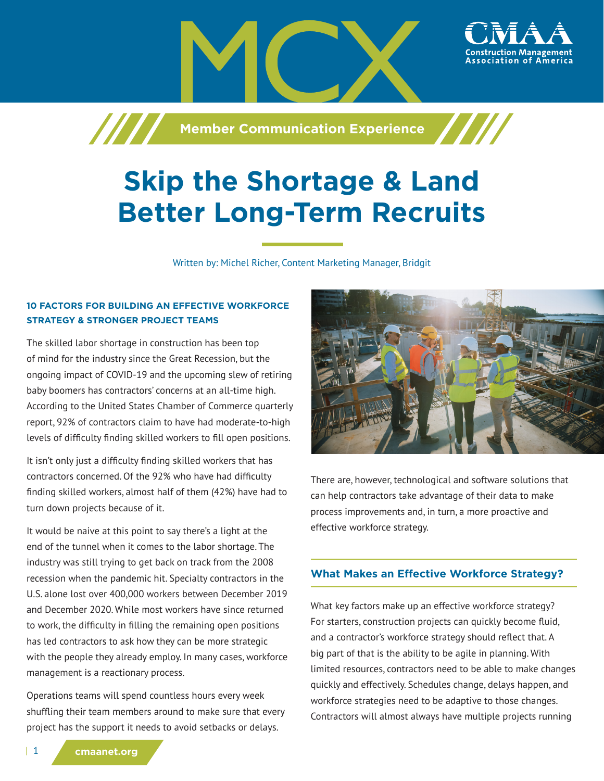

# **Skip the Shortage & Land Better Long-Term Recruits**

Written by: Michel Richer, Content Marketing Manager, Bridgit

# **10 FACTORS FOR BUILDING AN EFFECTIVE WORKFORCE STRATEGY & STRONGER PROJECT TEAMS**

The skilled labor shortage in construction has been top of mind for the industry since the Great Recession, but the ongoing impact of COVID-19 and the upcoming slew of retiring baby boomers has contractors' concerns at an all-time high. According to the United States Chamber of Commerce quarterly report, 92% of contractors claim to have had moderate-to-high levels of difficulty finding skilled workers to fill open positions.

It isn't only just a difficulty finding skilled workers that has contractors concerned. Of the 92% who have had difficulty finding skilled workers, almost half of them (42%) have had to turn down projects because of it.

It would be naive at this point to say there's a light at the end of the tunnel when it comes to the labor shortage. The industry was still trying to get back on track from the 2008 recession when the pandemic hit. Specialty contractors in the U.S. alone lost over 400,000 workers between December 2019 and December 2020. While most workers have since returned to work, the difficulty in filling the remaining open positions has led contractors to ask how they can be more strategic with the people they already employ. In many cases, workforce management is a reactionary process.

Operations teams will spend countless hours every week shuffling their team members around to make sure that every project has the support it needs to avoid setbacks or delays.



There are, however, technological and software solutions that can help contractors take advantage of their data to make process improvements and, in turn, a more proactive and effective workforce strategy.

# **What Makes an Effective Workforce Strategy?**

What key factors make up an effective workforce strategy? For starters, construction projects can quickly become fluid, and a contractor's workforce strategy should reflect that. A big part of that is the ability to be agile in planning. With limited resources, contractors need to be able to make changes quickly and effectively. Schedules change, delays happen, and workforce strategies need to be adaptive to those changes. Contractors will almost always have multiple projects running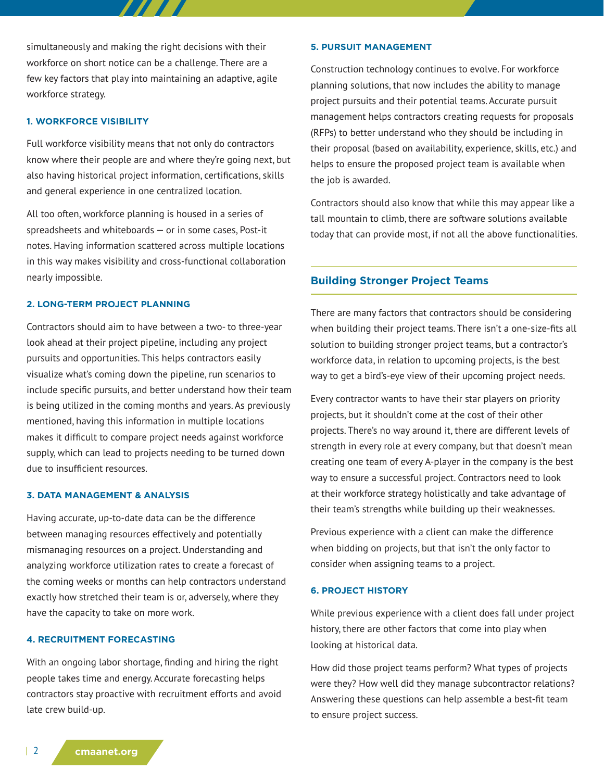simultaneously and making the right decisions with their workforce on short notice can be a challenge. There are a few key factors that play into maintaining an adaptive, agile workforce strategy.

777

#### **1. WORKFORCE VISIBILITY**

Full workforce visibility means that not only do contractors know where their people are and where they're going next, but also having historical project information, certifications, skills and general experience in one centralized location.

All too often, workforce planning is housed in a series of spreadsheets and whiteboards — or in some cases, Post-it notes. Having information scattered across multiple locations in this way makes visibility and cross-functional collaboration nearly impossible.

# **2. LONG-TERM PROJECT PLANNING**

Contractors should aim to have between a two- to three-year look ahead at their project pipeline, including any project pursuits and opportunities. This helps contractors easily visualize what's coming down the pipeline, run scenarios to include specific pursuits, and better understand how their team is being utilized in the coming months and years. As previously mentioned, having this information in multiple locations makes it difficult to compare project needs against workforce supply, which can lead to projects needing to be turned down due to insufficient resources.

#### **3. DATA MANAGEMENT & ANALYSIS**

Having accurate, up-to-date data can be the difference between managing resources effectively and potentially mismanaging resources on a project. Understanding and analyzing workforce utilization rates to create a forecast of the coming weeks or months can help contractors understand exactly how stretched their team is or, adversely, where they have the capacity to take on more work.

#### **4. RECRUITMENT FORECASTING**

With an ongoing labor shortage, finding and hiring the right people takes time and energy. Accurate forecasting helps contractors stay proactive with recruitment efforts and avoid late crew build-up.

#### **5. PURSUIT MANAGEMENT**

Construction technology continues to evolve. For workforce planning solutions, that now includes the ability to manage project pursuits and their potential teams. Accurate pursuit management helps contractors creating requests for proposals (RFPs) to better understand who they should be including in their proposal (based on availability, experience, skills, etc.) and helps to ensure the proposed project team is available when the job is awarded.

Contractors should also know that while this may appear like a tall mountain to climb, there are software solutions available today that can provide most, if not all the above functionalities.

### **Building Stronger Project Teams**

There are many factors that contractors should be considering when building their project teams. There isn't a one-size-fits all solution to building stronger project teams, but a contractor's workforce data, in relation to upcoming projects, is the best way to get a bird's-eye view of their upcoming project needs.

Every contractor wants to have their star players on priority projects, but it shouldn't come at the cost of their other projects. There's no way around it, there are different levels of strength in every role at every company, but that doesn't mean creating one team of every A-player in the company is the best way to ensure a successful project. Contractors need to look at their workforce strategy holistically and take advantage of their team's strengths while building up their weaknesses.

Previous experience with a client can make the difference when bidding on projects, but that isn't the only factor to consider when assigning teams to a project.

#### **6. PROJECT HISTORY**

While previous experience with a client does fall under project history, there are other factors that come into play when looking at historical data.

How did those project teams perform? What types of projects were they? How well did they manage subcontractor relations? Answering these questions can help assemble a best-fit team to ensure project success.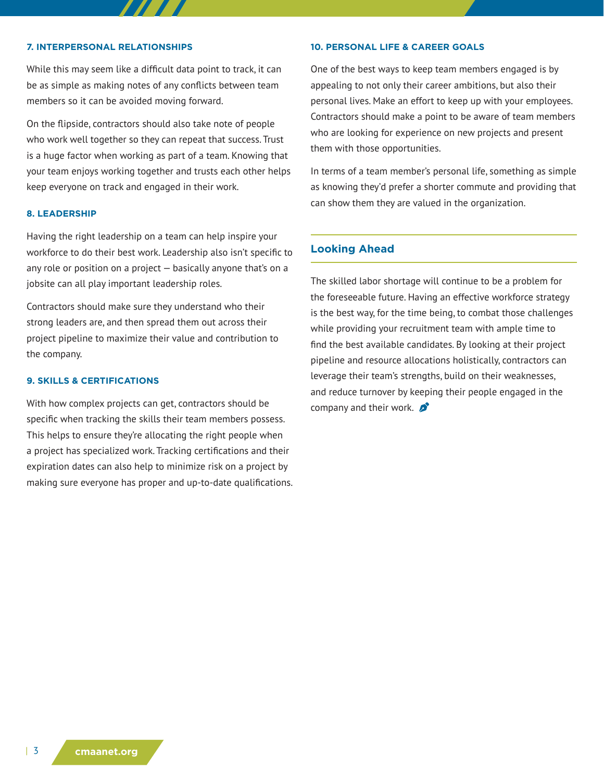#### **7. INTERPERSONAL RELATIONSHIPS**

While this may seem like a difficult data point to track, it can be as simple as making notes of any conflicts between team members so it can be avoided moving forward.

On the flipside, contractors should also take note of people who work well together so they can repeat that success. Trust is a huge factor when working as part of a team. Knowing that your team enjoys working together and trusts each other helps keep everyone on track and engaged in their work.

#### **8. LEADERSHIP**

Having the right leadership on a team can help inspire your workforce to do their best work. Leadership also isn't specific to any role or position on a project — basically anyone that's on a jobsite can all play important leadership roles.

Contractors should make sure they understand who their strong leaders are, and then spread them out across their project pipeline to maximize their value and contribution to the company.

#### **9. SKILLS & CERTIFICATIONS**

With how complex projects can get, contractors should be specific when tracking the skills their team members possess. This helps to ensure they're allocating the right people when a project has specialized work. Tracking certifications and their expiration dates can also help to minimize risk on a project by making sure everyone has proper and up-to-date qualifications.

#### **10. PERSONAL LIFE & CAREER GOALS**

One of the best ways to keep team members engaged is by appealing to not only their career ambitions, but also their personal lives. Make an effort to keep up with your employees. Contractors should make a point to be aware of team members who are looking for experience on new projects and present them with those opportunities.

In terms of a team member's personal life, something as simple as knowing they'd prefer a shorter commute and providing that can show them they are valued in the organization.

### **Looking Ahead**

The skilled labor shortage will continue to be a problem for the foreseeable future. Having an effective workforce strategy is the best way, for the time being, to combat those challenges while providing your recruitment team with ample time to find the best available candidates. By looking at their project pipeline and resource allocations holistically, contractors can leverage their team's strengths, build on their weaknesses, and reduce turnover by keeping their people engaged in the company and their work.  $\beta$